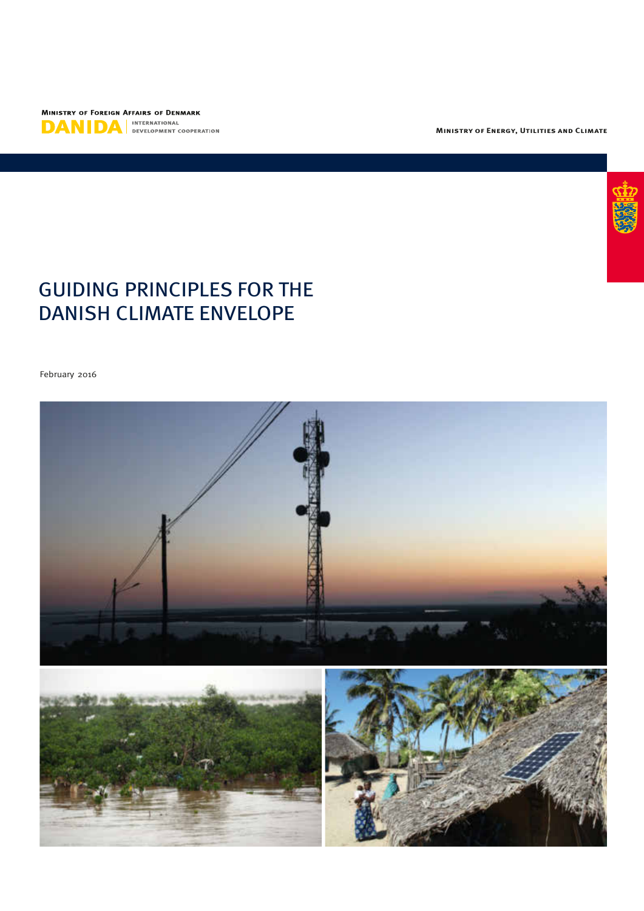

**Ministry of Energy, Utilities and Climate**

# GUIDING PRINCIPLES FOR THE DANISH CLIMATE ENVELOPE

February 2016

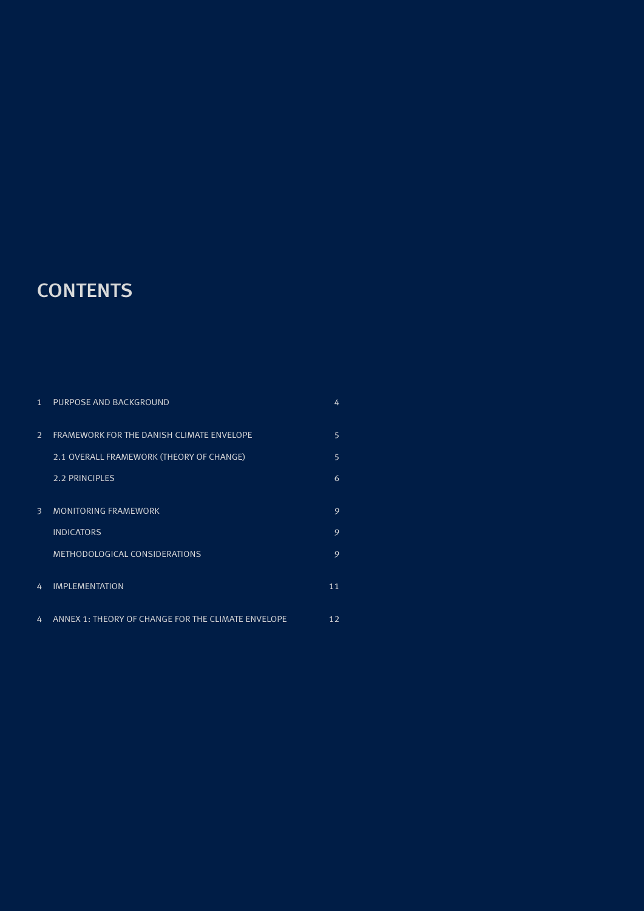# **CONTENTS**

| $\mathbf{1}$ | PURPOSE AND BACKGROUND                             | 4  |
|--------------|----------------------------------------------------|----|
| 2            | FRAMEWORK FOR THE DANISH CLIMATE ENVELOPE          | 5  |
|              | 2.1 OVERALL FRAMEWORK (THEORY OF CHANGE)           | 5  |
|              | <b>2.2 PRINCIPLES</b>                              | 6  |
| 3            | <b>MONITORING FRAMEWORK</b>                        | 9  |
|              | <b>INDICATORS</b>                                  | 9  |
|              | <b>METHODOLOGICAL CONSIDERATIONS</b>               | 9  |
| 4            | <b>IMPLEMENTATION</b>                              | 11 |
| 4            | ANNEX 1: THEORY OF CHANGE FOR THE CLIMATE ENVELOPE | 12 |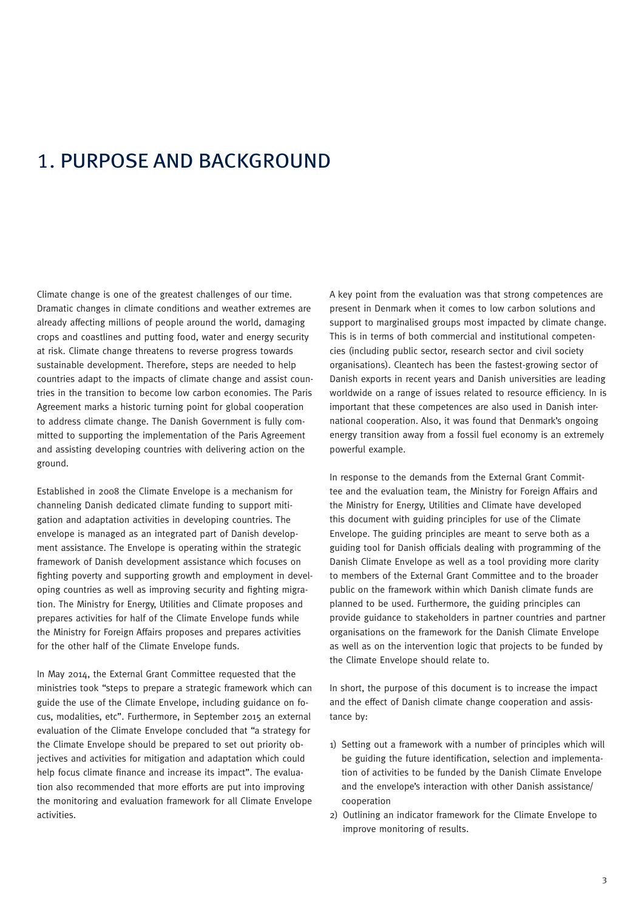# 1. PURPOSE AND BACKGROUND

Climate change is one of the greatest challenges of our time. Dramatic changes in climate conditions and weather extremes are already affecting millions of people around the world, damaging crops and coastlines and putting food, water and energy security at risk. Climate change threatens to reverse progress towards sustainable development. Therefore, steps are needed to help countries adapt to the impacts of climate change and assist countries in the transition to become low carbon economies. The Paris Agreement marks a historic turning point for global cooperation to address climate change. The Danish Government is fully committed to supporting the implementation of the Paris Agreement and assisting developing countries with delivering action on the ground.

Established in 2008 the Climate Envelope is a mechanism for channeling Danish dedicated climate funding to support mitigation and adaptation activities in developing countries. The envelope is managed as an integrated part of Danish development assistance. The Envelope is operating within the strategic framework of Danish development assistance which focuses on fighting poverty and supporting growth and employment in developing countries as well as improving security and fighting migration. The Ministry for Energy, Utilities and Climate proposes and prepares activities for half of the Climate Envelope funds while the Ministry for Foreign Affairs proposes and prepares activities for the other half of the Climate Envelope funds.

In May 2014, the External Grant Committee requested that the ministries took "steps to prepare a strategic framework which can guide the use of the Climate Envelope, including guidance on focus, modalities, etc". Furthermore, in September 2015 an external evaluation of the Climate Envelope concluded that "a strategy for the Climate Envelope should be prepared to set out priority objectives and activities for mitigation and adaptation which could help focus climate finance and increase its impact". The evaluation also recommended that more efforts are put into improving the monitoring and evaluation framework for all Climate Envelope activities.

A key point from the evaluation was that strong competences are present in Denmark when it comes to low carbon solutions and support to marginalised groups most impacted by climate change. This is in terms of both commercial and institutional competencies (including public sector, research sector and civil society organisations). Cleantech has been the fastest-growing sector of Danish exports in recent years and Danish universities are leading worldwide on a range of issues related to resource efficiency. In is important that these competences are also used in Danish international cooperation. Also, it was found that Denmark's ongoing energy transition away from a fossil fuel economy is an extremely powerful example.

In response to the demands from the External Grant Committee and the evaluation team, the Ministry for Foreign Affairs and the Ministry for Energy, Utilities and Climate have developed this document with guiding principles for use of the Climate Envelope. The guiding principles are meant to serve both as a guiding tool for Danish officials dealing with programming of the Danish Climate Envelope as well as a tool providing more clarity to members of the External Grant Committee and to the broader public on the framework within which Danish climate funds are planned to be used. Furthermore, the guiding principles can provide guidance to stakeholders in partner countries and partner organisations on the framework for the Danish Climate Envelope as well as on the intervention logic that projects to be funded by the Climate Envelope should relate to.

In short, the purpose of this document is to increase the impact and the effect of Danish climate change cooperation and assistance by:

- 1) Setting out a framework with a number of principles which will be guiding the future identification, selection and implementation of activities to be funded by the Danish Climate Envelope and the envelope's interaction with other Danish assistance/ cooperation
- 2) Outlining an indicator framework for the Climate Envelope to improve monitoring of results.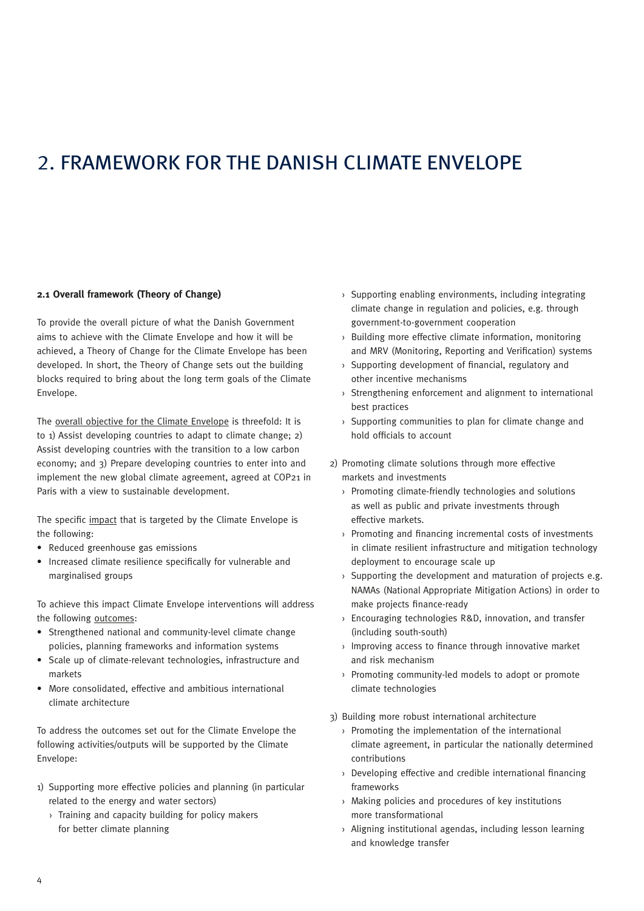# 2. FRAMEWORK FOR THE DANISH CLIMATE ENVELOPE

## **2.1 Overall framework (Theory of Change)**

To provide the overall picture of what the Danish Government aims to achieve with the Climate Envelope and how it will be achieved, a Theory of Change for the Climate Envelope has been developed. In short, the Theory of Change sets out the building blocks required to bring about the long term goals of the Climate Envelope.

The overall objective for the Climate Envelope is threefold: It is to 1) Assist developing countries to adapt to climate change; 2) Assist developing countries with the transition to a low carbon economy; and 3) Prepare developing countries to enter into and implement the new global climate agreement, agreed at COP21 in Paris with a view to sustainable development.

The specific impact that is targeted by the Climate Envelope is the following:

- Reduced greenhouse gas emissions
- Increased climate resilience specifically for vulnerable and marginalised groups

To achieve this impact Climate Envelope interventions will address the following outcomes:

- Strengthened national and community-level climate change policies, planning frameworks and information systems
- Scale up of climate-relevant technologies, infrastructure and markets
- More consolidated, effective and ambitious international climate architecture

To address the outcomes set out for the Climate Envelope the following activities/outputs will be supported by the Climate Envelope:

- 1) Supporting more effective policies and planning (in particular related to the energy and water sectors)
	- › Training and capacity building for policy makers for better climate planning
- › Supporting enabling environments, including integrating climate change in regulation and policies, e.g. through government-to-government cooperation
- › Building more effective climate information, monitoring and MRV (Monitoring, Reporting and Verification) systems
- › Supporting development of financial, regulatory and other incentive mechanisms
- › Strengthening enforcement and alignment to international best practices
- › Supporting communities to plan for climate change and hold officials to account
- 2) Promoting climate solutions through more effective markets and investments
	- › Promoting climate-friendly technologies and solutions as well as public and private investments through effective markets.
	- › Promoting and financing incremental costs of investments in climate resilient infrastructure and mitigation technology deployment to encourage scale up
	- $\rightarrow$  Supporting the development and maturation of projects e.g. NAMAs (National Appropriate Mitigation Actions) in order to make projects finance-ready
	- › Encouraging technologies R&D, innovation, and transfer (including south-south)
	- › Improving access to finance through innovative market and risk mechanism
	- › Promoting community-led models to adopt or promote climate technologies
- 3) Building more robust international architecture
	- › Promoting the implementation of the international climate agreement, in particular the nationally determined contributions
	- › Developing effective and credible international financing frameworks
	- › Making policies and procedures of key institutions more transformational
	- › Aligning institutional agendas, including lesson learning and knowledge transfer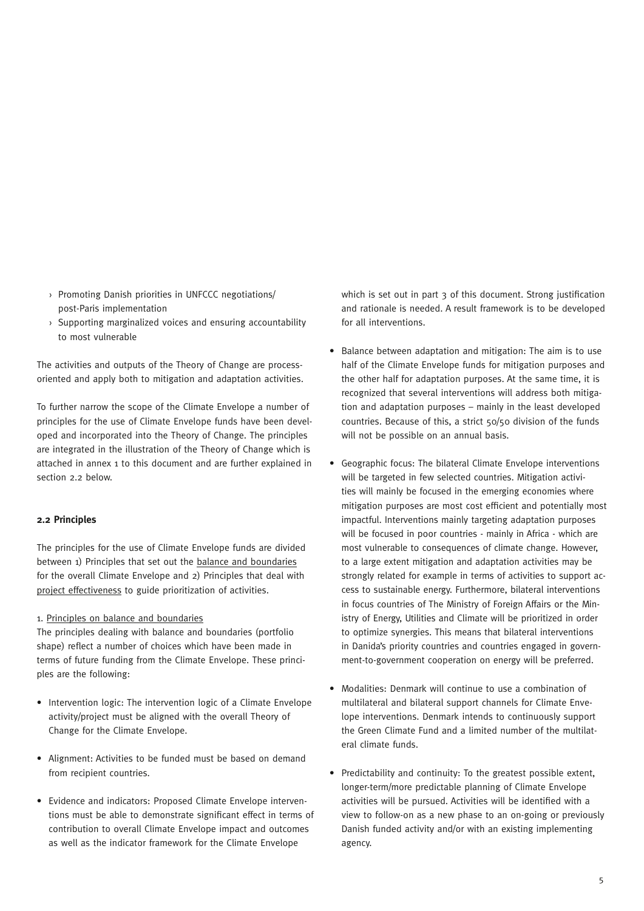- › Promoting Danish priorities in UNFCCC negotiations/ post-Paris implementation
- › Supporting marginalized voices and ensuring accountability to most vulnerable

The activities and outputs of the Theory of Change are processoriented and apply both to mitigation and adaptation activities.

To further narrow the scope of the Climate Envelope a number of principles for the use of Climate Envelope funds have been developed and incorporated into the Theory of Change. The principles are integrated in the illustration of the Theory of Change which is attached in annex 1 to this document and are further explained in section 2.2 below.

# **2.2 Principles**

The principles for the use of Climate Envelope funds are divided between 1) Principles that set out the balance and boundaries for the overall Climate Envelope and 2) Principles that deal with project effectiveness to guide prioritization of activities.

## 1. Principles on balance and boundaries

The principles dealing with balance and boundaries (portfolio shape) reflect a number of choices which have been made in terms of future funding from the Climate Envelope. These principles are the following:

- Intervention logic: The intervention logic of a Climate Envelope activity/project must be aligned with the overall Theory of Change for the Climate Envelope.
- Alignment: Activities to be funded must be based on demand from recipient countries.
- Evidence and indicators: Proposed Climate Envelope interventions must be able to demonstrate significant effect in terms of contribution to overall Climate Envelope impact and outcomes as well as the indicator framework for the Climate Envelope

which is set out in part 3 of this document. Strong justification and rationale is needed. A result framework is to be developed for all interventions.

- Balance between adaptation and mitigation: The aim is to use half of the Climate Envelope funds for mitigation purposes and the other half for adaptation purposes. At the same time, it is recognized that several interventions will address both mitigation and adaptation purposes – mainly in the least developed countries. Because of this, a strict 50/50 division of the funds will not be possible on an annual basis.
- Geographic focus: The bilateral Climate Envelope interventions will be targeted in few selected countries. Mitigation activities will mainly be focused in the emerging economies where mitigation purposes are most cost efficient and potentially most impactful. Interventions mainly targeting adaptation purposes will be focused in poor countries - mainly in Africa - which are most vulnerable to consequences of climate change. However, to a large extent mitigation and adaptation activities may be strongly related for example in terms of activities to support access to sustainable energy. Furthermore, bilateral interventions in focus countries of The Ministry of Foreign Affairs or the Ministry of Energy, Utilities and Climate will be prioritized in order to optimize synergies. This means that bilateral interventions in Danida's priority countries and countries engaged in government-to-government cooperation on energy will be preferred.
- Modalities: Denmark will continue to use a combination of multilateral and bilateral support channels for Climate Envelope interventions. Denmark intends to continuously support the Green Climate Fund and a limited number of the multilateral climate funds.
- Predictability and continuity: To the greatest possible extent, longer-term/more predictable planning of Climate Envelope activities will be pursued. Activities will be identified with a view to follow-on as a new phase to an on-going or previously Danish funded activity and/or with an existing implementing agency.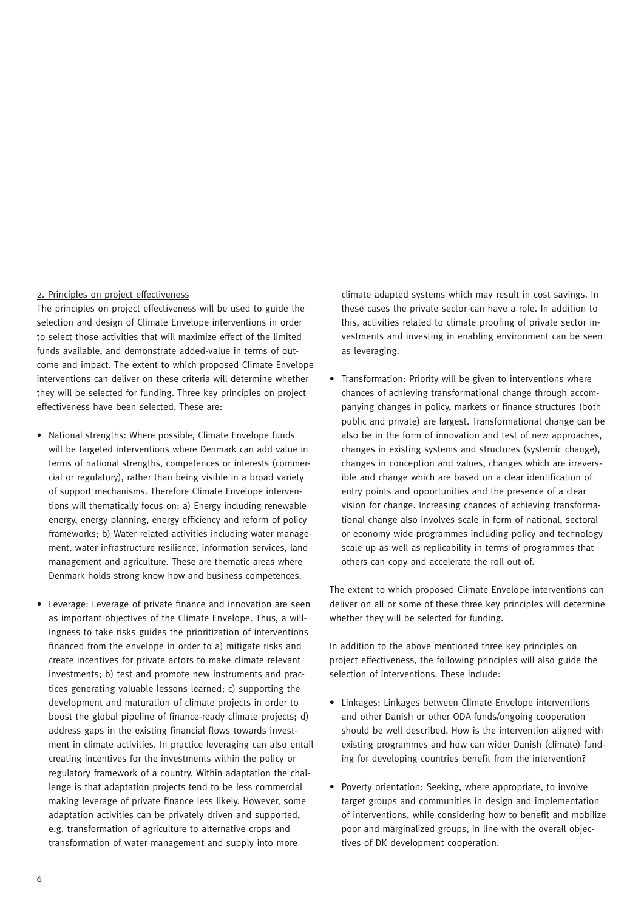# 2. Principles on project effectiveness

The principles on project effectiveness will be used to guide the selection and design of Climate Envelope interventions in order to select those activities that will maximize effect of the limited funds available, and demonstrate added-value in terms of outcome and impact. The extent to which proposed Climate Envelope interventions can deliver on these criteria will determine whether they will be selected for funding. Three key principles on project effectiveness have been selected. These are:

- National strengths: Where possible, Climate Envelope funds will be targeted interventions where Denmark can add value in terms of national strengths, competences or interests (commercial or regulatory), rather than being visible in a broad variety of support mechanisms. Therefore Climate Envelope interventions will thematically focus on: a) Energy including renewable energy, energy planning, energy efficiency and reform of policy frameworks; b) Water related activities including water management, water infrastructure resilience, information services, land management and agriculture. These are thematic areas where Denmark holds strong know how and business competences.
- Leverage: Leverage of private finance and innovation are seen as important objectives of the Climate Envelope. Thus, a willingness to take risks guides the prioritization of interventions financed from the envelope in order to a) mitigate risks and create incentives for private actors to make climate relevant investments; b) test and promote new instruments and practices generating valuable lessons learned; c) supporting the development and maturation of climate projects in order to boost the global pipeline of finance-ready climate projects; d) address gaps in the existing financial flows towards investment in climate activities. In practice leveraging can also entail creating incentives for the investments within the policy or regulatory framework of a country. Within adaptation the challenge is that adaptation projects tend to be less commercial making leverage of private finance less likely. However, some adaptation activities can be privately driven and supported, e.g. transformation of agriculture to alternative crops and transformation of water management and supply into more

climate adapted systems which may result in cost savings. In these cases the private sector can have a role. In addition to this, activities related to climate proofing of private sector investments and investing in enabling environment can be seen as leveraging.

• Transformation: Priority will be given to interventions where chances of achieving transformational change through accompanying changes in policy, markets or finance structures (both public and private) are largest. Transformational change can be also be in the form of innovation and test of new approaches, changes in existing systems and structures (systemic change), changes in conception and values, changes which are irreversible and change which are based on a clear identification of entry points and opportunities and the presence of a clear vision for change. Increasing chances of achieving transformational change also involves scale in form of national, sectoral or economy wide programmes including policy and technology scale up as well as replicability in terms of programmes that others can copy and accelerate the roll out of.

The extent to which proposed Climate Envelope interventions can deliver on all or some of these three key principles will determine whether they will be selected for funding.

In addition to the above mentioned three key principles on project effectiveness, the following principles will also guide the selection of interventions. These include:

- Linkages: Linkages between Climate Envelope interventions and other Danish or other ODA funds/ongoing cooperation should be well described. How is the intervention aligned with existing programmes and how can wider Danish (climate) funding for developing countries benefit from the intervention?
- Poverty orientation: Seeking, where appropriate, to involve target groups and communities in design and implementation of interventions, while considering how to benefit and mobilize poor and marginalized groups, in line with the overall objectives of DK development cooperation.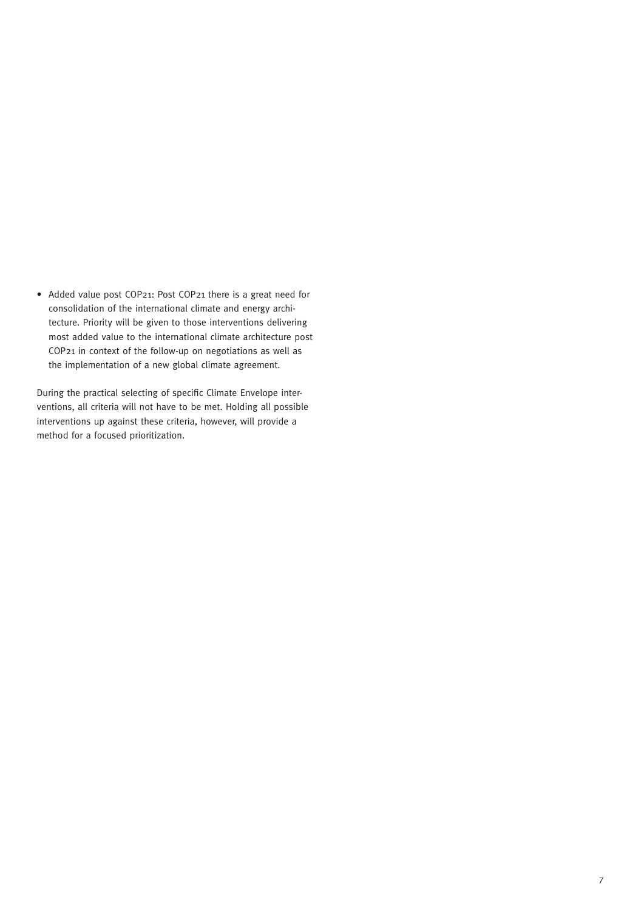• Added value post COP21: Post COP21 there is a great need for consolidation of the international climate and energy architecture. Priority will be given to those interventions delivering most added value to the international climate architecture post COP21 in context of the follow-up on negotiations as well as the implementation of a new global climate agreement.

During the practical selecting of specific Climate Envelope interventions, all criteria will not have to be met. Holding all possible interventions up against these criteria, however, will provide a method for a focused prioritization.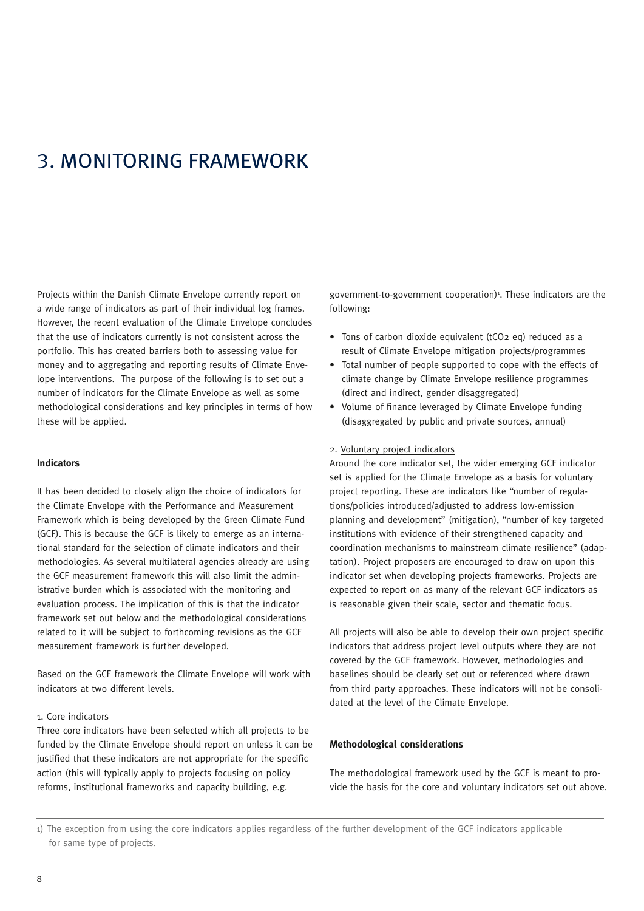# 3. MONITORING FRAMEWORK

Projects within the Danish Climate Envelope currently report on a wide range of indicators as part of their individual log frames. However, the recent evaluation of the Climate Envelope concludes that the use of indicators currently is not consistent across the portfolio. This has created barriers both to assessing value for money and to aggregating and reporting results of Climate Envelope interventions. The purpose of the following is to set out a number of indicators for the Climate Envelope as well as some methodological considerations and key principles in terms of how these will be applied.

# **Indicators**

It has been decided to closely align the choice of indicators for the Climate Envelope with the Performance and Measurement Framework which is being developed by the Green Climate Fund (GCF). This is because the GCF is likely to emerge as an international standard for the selection of climate indicators and their methodologies. As several multilateral agencies already are using the GCF measurement framework this will also limit the administrative burden which is associated with the monitoring and evaluation process. The implication of this is that the indicator framework set out below and the methodological considerations related to it will be subject to forthcoming revisions as the GCF measurement framework is further developed.

Based on the GCF framework the Climate Envelope will work with indicators at two different levels.

# 1. Core indicators

Three core indicators have been selected which all projects to be funded by the Climate Envelope should report on unless it can be justified that these indicators are not appropriate for the specific action (this will typically apply to projects focusing on policy reforms, institutional frameworks and capacity building, e.g.

government-to-government cooperation)<sup>1</sup>. These indicators are the following:

- Tons of carbon dioxide equivalent (tCO2 eq) reduced as a result of Climate Envelope mitigation projects/programmes
- Total number of people supported to cope with the effects of climate change by Climate Envelope resilience programmes (direct and indirect, gender disaggregated)
- Volume of finance leveraged by Climate Envelope funding (disaggregated by public and private sources, annual)

## 2. Voluntary project indicators

Around the core indicator set, the wider emerging GCF indicator set is applied for the Climate Envelope as a basis for voluntary project reporting. These are indicators like "number of regulations/policies introduced/adjusted to address low-emission planning and development" (mitigation), "number of key targeted institutions with evidence of their strengthened capacity and coordination mechanisms to mainstream climate resilience" (adaptation). Project proposers are encouraged to draw on upon this indicator set when developing projects frameworks. Projects are expected to report on as many of the relevant GCF indicators as is reasonable given their scale, sector and thematic focus.

All projects will also be able to develop their own project specific indicators that address project level outputs where they are not covered by the GCF framework. However, methodologies and baselines should be clearly set out or referenced where drawn from third party approaches. These indicators will not be consolidated at the level of the Climate Envelope.

### **Methodological considerations**

The methodological framework used by the GCF is meant to provide the basis for the core and voluntary indicators set out above.

1) The exception from using the core indicators applies regardless of the further development of the GCF indicators applicable for same type of projects.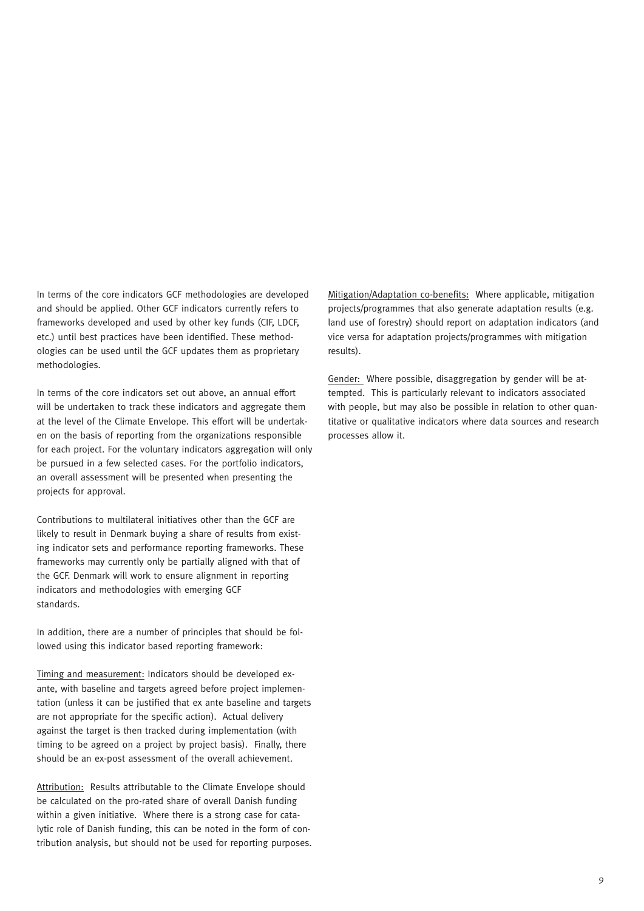In terms of the core indicators GCF methodologies are developed and should be applied. Other GCF indicators currently refers to frameworks developed and used by other key funds (CIF, LDCF, etc.) until best practices have been identified. These methodologies can be used until the GCF updates them as proprietary methodologies.

In terms of the core indicators set out above, an annual effort will be undertaken to track these indicators and aggregate them at the level of the Climate Envelope. This effort will be undertaken on the basis of reporting from the organizations responsible for each project. For the voluntary indicators aggregation will only be pursued in a few selected cases. For the portfolio indicators, an overall assessment will be presented when presenting the projects for approval.

Contributions to multilateral initiatives other than the GCF are likely to result in Denmark buying a share of results from existing indicator sets and performance reporting frameworks. These frameworks may currently only be partially aligned with that of the GCF. Denmark will work to ensure alignment in reporting indicators and methodologies with emerging GCF standards.

In addition, there are a number of principles that should be followed using this indicator based reporting framework:

Timing and measurement: Indicators should be developed exante, with baseline and targets agreed before project implementation (unless it can be justified that ex ante baseline and targets are not appropriate for the specific action). Actual delivery against the target is then tracked during implementation (with timing to be agreed on a project by project basis). Finally, there should be an ex-post assessment of the overall achievement.

Attribution: Results attributable to the Climate Envelope should be calculated on the pro-rated share of overall Danish funding within a given initiative. Where there is a strong case for catalytic role of Danish funding, this can be noted in the form of contribution analysis, but should not be used for reporting purposes.

Mitigation/Adaptation co-benefits: Where applicable, mitigation projects/programmes that also generate adaptation results (e.g. land use of forestry) should report on adaptation indicators (and vice versa for adaptation projects/programmes with mitigation results).

Gender: Where possible, disaggregation by gender will be attempted. This is particularly relevant to indicators associated with people, but may also be possible in relation to other quantitative or qualitative indicators where data sources and research processes allow it.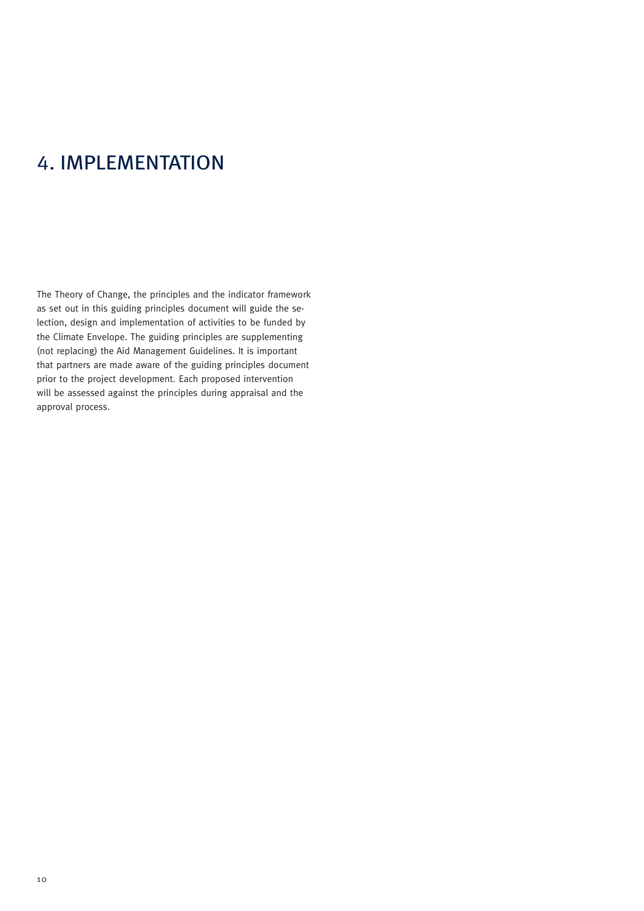# 4. IMPLEMENTATION

The Theory of Change, the principles and the indicator framework as set out in this guiding principles document will guide the selection, design and implementation of activities to be funded by the Climate Envelope. The guiding principles are supplementing (not replacing) the Aid Management Guidelines. It is important that partners are made aware of the guiding principles document prior to the project development. Each proposed intervention will be assessed against the principles during appraisal and the approval process.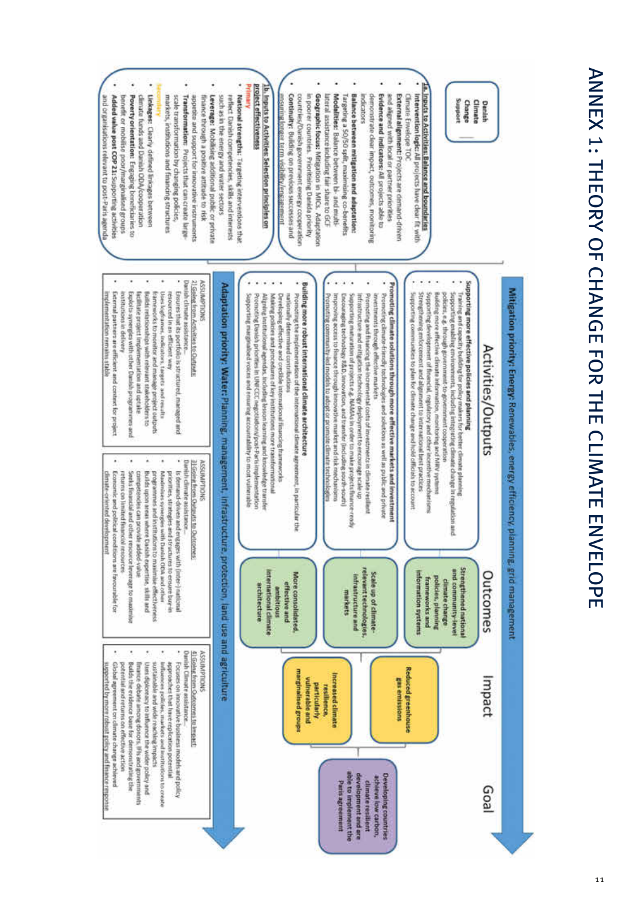# ANNEX 1: THEORY OF CHANGE FOR THE CLIMATE ENVELOPE ANNEX 1: THEORY OF CHANGE FOR THE CLIMATE ENVELOPE : THEORY OF CHANGE FOR THE CLIMATE ENVELOPE